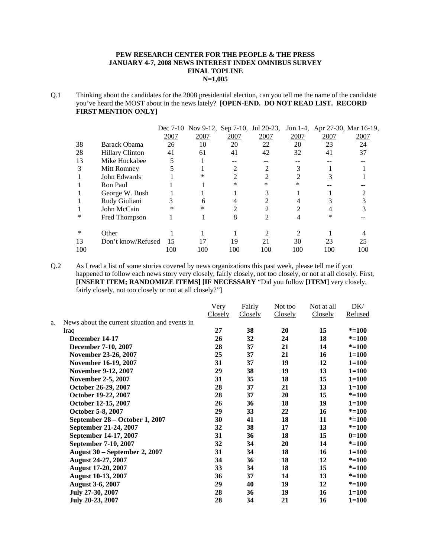### **PEW RESEARCH CENTER FOR THE PEOPLE & THE PRESS JANUARY 4-7, 2008 NEWS INTEREST INDEX OMNIBUS SURVEY FINAL TOPLINE N=1,005**

Q.1 Thinking about the candidates for the 2008 presidential election, can you tell me the name of the candidate you've heard the MOST about in the news lately? **[OPEN-END. DO NOT READ LIST. RECORD FIRST MENTION ONLY]**

|           |                        |      | Dec 7-10 Nov 9-12, Sep 7-10, Jul 20-23, |            |            |      |      | Jun 1-4, Apr 27-30, Mar 16-19, |
|-----------|------------------------|------|-----------------------------------------|------------|------------|------|------|--------------------------------|
|           |                        | 2007 | 2007                                    | 2007       | 2007       | 2007 | 2007 | 2007                           |
| 38        | <b>Barack Obama</b>    | 26   | 10                                      | 20         | 22         | 20   | 23   | 24                             |
| 28        | <b>Hillary Clinton</b> | 41   | 61                                      | 41         | 42         | 32   | 41   | 37                             |
| 13        | Mike Huckabee          |      |                                         |            |            |      |      |                                |
| 3         | Mitt Romney            |      |                                         |            |            | 3    |      |                                |
|           | John Edwards           |      | *                                       | 2          |            | 2    | 3    |                                |
|           | Ron Paul               |      |                                         | $\ast$     | $\ast$     | *    |      |                                |
|           | George W. Bush         |      |                                         |            |            |      |      |                                |
|           | Rudy Giuliani          |      | 6                                       |            |            |      |      |                                |
|           | John McCain            | *    | *                                       |            |            | ↑    |      |                                |
| *         | Fred Thompson          |      |                                         | 8          |            |      | *    |                                |
| *         | Other                  |      |                                         |            |            |      |      |                                |
| <u>13</u> | Don't know/Refused     | 15   |                                         | <u> 19</u> | <u> 21</u> | 30   | 23   | <u>25</u>                      |
| 100       |                        | 100  | 100                                     | 100        | 100        | 100  | 100  | 100                            |

Q.2 As I read a list of some stories covered by news organizations this past week, please tell me if you happened to follow each news story very closely, fairly closely, not too closely, or not at all closely. First, **[INSERT ITEM; RANDOMIZE ITEMS] [IF NECESSARY** "Did you follow **[ITEM]** very closely, fairly closely, not too closely or not at all closely?"**]** 

|                                                | Very           | Fairly  | Not too | Not at all | DK/       |
|------------------------------------------------|----------------|---------|---------|------------|-----------|
|                                                | <b>Closely</b> | Closely | Closely | Closely    | Refused   |
| News about the current situation and events in |                |         |         |            |           |
| Iraq                                           | 27             | 38      | 20      | 15         | $* = 100$ |
| December 14-17                                 | 26             | 32      | 24      | 18         | $* = 100$ |
| December 7-10, 2007                            | 28             | 37      | 21      | 14         | $* = 100$ |
| November 23-26, 2007                           | 25             | 37      | 21      | 16         | $1 = 100$ |
| November 16-19, 2007                           | 31             | 37      | 19      | 12         | $1 = 100$ |
| November 9-12, 2007                            | 29             | 38      | 19      | 13         | $1 = 100$ |
| <b>November 2-5, 2007</b>                      | 31             | 35      | 18      | 15         | $1 = 100$ |
| October 26-29, 2007                            | 28             | 37      | 21      | 13         | $1 = 100$ |
| October 19-22, 2007                            | 28             | 37      | 20      | 15         | $* = 100$ |
| October 12-15, 2007                            | 26             | 36      | 18      | 19         | $1 = 100$ |
| October 5-8, 2007                              | 29             | 33      | 22      | 16         | $* = 100$ |
| September 28 – October 1, 2007                 | 30             | 41      | 18      | 11         | $* = 100$ |
| September 21-24, 2007                          | 32             | 38      | 17      | 13         | $* = 100$ |
| September 14-17, 2007                          | 31             | 36      | 18      | 15         | $0=100$   |
| September 7-10, 2007                           | 32             | 34      | 20      | 14         | $* = 100$ |
| <b>August 30 – September 2, 2007</b>           | 31             | 34      | 18      | 16         | $1 = 100$ |
| <b>August 24-27, 2007</b>                      | 34             | 36      | 18      | 12         | $* = 100$ |
| August 17-20, 2007                             | 33             | 34      | 18      | 15         | $* = 100$ |
| August 10-13, 2007                             | 36             | 37      | 14      | 13         | $* = 100$ |
| <b>August 3-6, 2007</b>                        | 29             | 40      | 19      | 12         | $* = 100$ |
| July 27-30, 2007                               | 28             | 36      | 19      | 16         | $1 = 100$ |
| July 20-23, 2007                               | 28             | 34      | 21      | 16         | $1 = 100$ |
|                                                |                |         |         |            |           |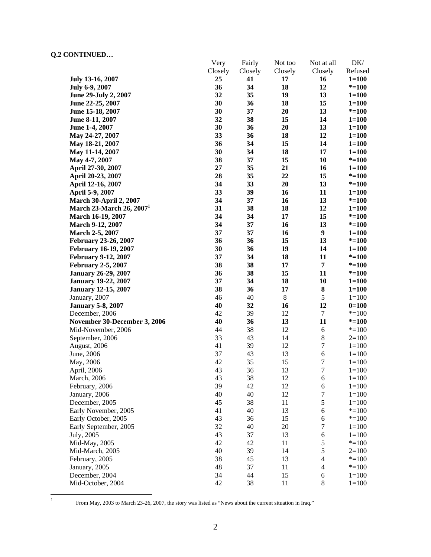|                                      | Very<br>Closely | Fairly<br>Closely | Not too<br>Closely | Not at all<br>Closely | DK/<br>Refused |
|--------------------------------------|-----------------|-------------------|--------------------|-----------------------|----------------|
| July 13-16, 2007                     | 25              | 41                | 17                 | 16                    | $1 = 100$      |
| July 6-9, 2007                       | 36              | 34                | 18                 | 12                    | $* = 100$      |
| June 29-July 2, 2007                 | 32              | 35                | 19                 | 13                    | $1 = 100$      |
| June 22-25, 2007                     | 30              | 36                | 18                 | 15                    | $1 = 100$      |
| June 15-18, 2007                     | 30              | 37                | 20                 | 13                    | $* = 100$      |
| June 8-11, 2007                      | 32              | 38                | 15                 | 14                    | $1 = 100$      |
| June 1-4, 2007                       | 30              | 36                | 20                 | 13                    | $1 = 100$      |
| May 24-27, 2007                      | 33              | 36                | 18                 | 12                    | $1 = 100$      |
| May 18-21, 2007                      | 36              | 34                | 15                 | 14                    | $1 = 100$      |
|                                      | 30              | 34                | 18                 | 17                    | $1 = 100$      |
| May 11-14, 2007                      | 38              | 37                | 15                 | 10                    | $* = 100$      |
| May 4-7, 2007                        |                 | 35                |                    |                       |                |
| April 27-30, 2007                    | 27              |                   | 21                 | 16                    | $1 = 100$      |
| April 20-23, 2007                    | 28<br>34        | 35                | 22<br>20           | 15                    | $* = 100$      |
| April 12-16, 2007                    |                 | 33                |                    | 13                    | $* = 100$      |
| April 5-9, 2007                      | 33              | 39                | 16                 | 11                    | $1 = 100$      |
| <b>March 30-April 2, 2007</b>        | 34              | 37                | 16                 | 13                    | $* = 100$      |
| March 23-March 26, 2007 <sup>1</sup> | 31              | 38                | 18                 | 12                    | $1 = 100$      |
| March 16-19, 2007                    | 34              | 34                | 17                 | 15                    | $* = 100$      |
| March 9-12, 2007                     | 34              | 37                | 16                 | 13                    | $* = 100$      |
| <b>March 2-5, 2007</b>               | 37              | 37                | 16                 | $\boldsymbol{9}$      | $1 = 100$      |
| <b>February 23-26, 2007</b>          | 36              | 36                | 15                 | 13                    | $* = 100$      |
| <b>February 16-19, 2007</b>          | 30              | 36                | 19                 | 14                    | $1 = 100$      |
| February 9-12, 2007                  | 37              | 34                | 18                 | 11                    | $* = 100$      |
| <b>February 2-5, 2007</b>            | 38              | 38                | 17                 | $\overline{7}$        | $* = 100$      |
| <b>January 26-29, 2007</b>           | 36              | 38                | 15                 | 11                    | $* = 100$      |
| <b>January 19-22, 2007</b>           | 37              | 34                | 18                 | 10                    | $1 = 100$      |
| <b>January 12-15, 2007</b>           | 38              | 36                | 17                 | ${\bf 8}$             | $1 = 100$      |
| January, 2007                        | 46              | 40                | $\,8$              | $\mathfrak s$         | $1 = 100$      |
| <b>January 5-8, 2007</b>             | 40              | 32                | 16                 | 12                    | $0=100$        |
| December, 2006                       | 42              | 39                | 12                 | $\tau$                | $* = 100$      |
| November 30-December 3, 2006         | 40              | 36                | 13                 | 11                    | $* = 100$      |
| Mid-November, 2006                   | 44              | 38                | 12                 | $\sqrt{6}$            | $* = 100$      |
| September, 2006                      | 33              | 43                | 14                 | $\,8\,$               | $2=100$        |
| August, 2006                         | 41              | 39                | 12                 | $\boldsymbol{7}$      | $1 = 100$      |
| June, 2006                           | 37              | 43                | 13                 | $\sqrt{6}$            | $1 = 100$      |
| May, 2006                            | 42              | 35                | 15                 | $\boldsymbol{7}$      | $1 = 100$      |
| April, 2006                          | 43              | 36                | 13                 | $\overline{7}$        | $1 = 100$      |
| March, 2006                          | 43              | 38                | 12                 | 6                     | $1 = 100$      |
| February, 2006                       | 39              | 42                | 12                 | 6                     | $1 = 100$      |
| January, 2006                        | 40              | 40                | 12                 | $\boldsymbol{7}$      | $1 = 100$      |
| December, 2005                       | 45              | 38                | 11                 | 5                     | $1 = 100$      |
| Early November, 2005                 | 41              | 40                | 13                 | 6                     | $* = 100$      |
| Early October, 2005                  | 43              | 36                | 15                 | 6                     | $* = 100$      |
| Early September, 2005                | 32              | 40                | 20                 | 7                     | $1 = 100$      |
| July, 2005                           | 43              | 37                | 13                 | 6                     | $1 = 100$      |
| Mid-May, 2005                        | 42              | 42                | 11                 | $\mathfrak s$         | $* = 100$      |
| Mid-March, 2005                      | 40              | 39                | 14                 | 5                     | $2=100$        |
| February, 2005                       | 38              | 45                | 13                 | $\overline{4}$        | $* = 100$      |
| January, 2005                        | 48              | 37                | 11                 | $\overline{4}$        | $* = 100$      |
| December, 2004                       | 34              | 44                | 15                 | 6                     | $1 = 100$      |
| Mid-October, 2004                    | 42              | 38                | 11                 | $\,8\,$               | $1 = 100$      |

 $\frac{1}{1}$ 

From May, 2003 to March 23-26, 2007, the story was listed as "News about the current situation in Iraq."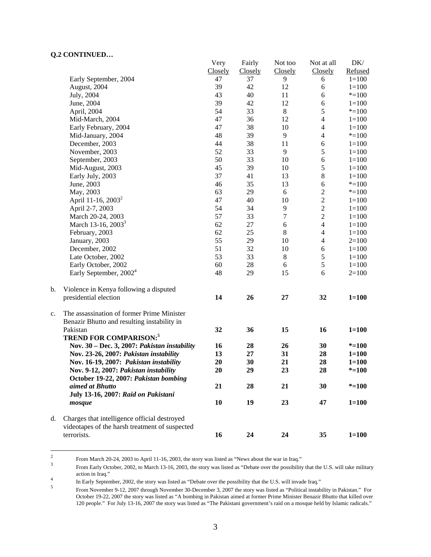|    |                                                                                                | Very           | Fairly         | Not too          | Not at all     | DK/       |
|----|------------------------------------------------------------------------------------------------|----------------|----------------|------------------|----------------|-----------|
|    |                                                                                                | <b>Closely</b> | <b>Closely</b> | Closely          | Closely        | Refused   |
|    | Early September, 2004                                                                          | 47             | 37             | 9                | 6              | $1 = 100$ |
|    | August, 2004                                                                                   | 39             | 42             | 12               | 6              | $1 = 100$ |
|    | July, 2004                                                                                     | 43             | 40             | 11               | 6              | $* = 100$ |
|    | June, 2004                                                                                     | 39             | 42             | 12               | 6              | $1 = 100$ |
|    | April, 2004                                                                                    | 54             | 33             | $\,8\,$          | 5              | $* = 100$ |
|    | Mid-March, 2004                                                                                | 47             | 36             | 12               | $\overline{4}$ | $1 = 100$ |
|    | Early February, 2004                                                                           | 47             | 38             | 10               | $\overline{4}$ | $1 = 100$ |
|    | Mid-January, 2004                                                                              | 48             | 39             | 9                | $\overline{4}$ | $* = 100$ |
|    | December, 2003                                                                                 | 44             | 38             | 11               | $\sqrt{6}$     | $1 = 100$ |
|    | November, 2003                                                                                 | 52             | 33             | 9                | 5              | $1 = 100$ |
|    | September, 2003                                                                                | 50             | 33             | 10               | 6              | $1 = 100$ |
|    | Mid-August, 2003                                                                               | 45             | 39             | 10               | 5              | $1 = 100$ |
|    | Early July, 2003                                                                               | 37             | 41             | 13               | $\,8\,$        | $1 = 100$ |
|    | June, 2003                                                                                     | 46             | 35             | 13               | 6              | $* = 100$ |
|    | May, 2003                                                                                      | 63             | 29             | 6                | $\sqrt{2}$     | $* = 100$ |
|    | April 11-16, $2003^2$                                                                          | 47             | 40             | 10               | $\overline{c}$ | $1 = 100$ |
|    | April 2-7, 2003                                                                                | 54             | 34             | $\overline{9}$   | $\overline{c}$ | $1 = 100$ |
|    | March 20-24, 2003                                                                              | 57             | 33             | $\boldsymbol{7}$ | $\overline{2}$ | $1 = 100$ |
|    | March 13-16, 2003 <sup>3</sup>                                                                 | 62             | 27             | $\sqrt{6}$       | $\overline{4}$ | $1 = 100$ |
|    | February, 2003                                                                                 | 62             | 25             | $8\,$            | $\overline{4}$ | $1 = 100$ |
|    | January, 2003                                                                                  | 55             | 29             | 10               | $\overline{4}$ | $2=100$   |
|    | December, 2002                                                                                 | 51             | 32             | 10               | 6              | $1 = 100$ |
|    | Late October, 2002                                                                             | 53             | 33             | $8\,$            | $\sqrt{5}$     | $1 = 100$ |
|    | Early October, 2002                                                                            | 60             | 28             | 6                | $\sqrt{5}$     | $1 = 100$ |
|    | Early September, $2002^4$                                                                      | 48             | 29             | 15               | 6              | $2=100$   |
| b. | Violence in Kenya following a disputed                                                         |                |                |                  |                |           |
|    | presidential election                                                                          | 14             | 26             | 27               | 32             | $1 = 100$ |
| c. | The assassination of former Prime Minister<br>Benazir Bhutto and resulting instability in      |                |                |                  |                |           |
|    | Pakistan<br><b>TREND FOR COMPARISON:5</b>                                                      | 32             | 36             | 15               | 16             | $1 = 100$ |
|    | Nov. 30 - Dec. 3, 2007: Pakistan instability                                                   | 16             | 28             | 26               | 30             | $* = 100$ |
|    | Nov. 23-26, 2007: Pakistan instability                                                         | 13             | 27             | 31               | 28             | $1 = 100$ |
|    | Nov. 16-19, 2007: Pakistan instability                                                         | 20             | 30             | 21               | 28             | $1 = 100$ |
|    | Nov. 9-12, 2007: Pakistan instability<br>October 19-22, 2007: Pakistan bombing                 | 20             | 29             | 23               | 28             | $* = 100$ |
|    | aimed at Bhutto<br>July 13-16, 2007: Raid on Pakistani                                         | 21             | 28             | 21               | 30             | $* = 100$ |
|    | mosque                                                                                         | 10             | 19             | 23               | 47             | $1 = 100$ |
| d. | Charges that intelligence official destroyed<br>videotapes of the harsh treatment of suspected |                |                |                  |                |           |
|    | terrorists.                                                                                    | 16             | 24             | 24               | 35             | $1 = 100$ |

 $\frac{1}{2}$ From March 20-24, 2003 to April 11-16, 2003, the story was listed as "News about the war in Iraq."  $\frac{3}{2}$ 

From Early October, 2002, to March 13-16, 2003, the story was listed as "Debate over the possibility that the U.S. will take military action in Iraq."

In Early September, 2002, the story was listed as "Debate over the possibility that the U.S. will invade Iraq."

From November 9-12, 2007 through November 30-December 3, 2007 the story was listed as "Political instability in Pakistan." For October 19-22, 2007 the story was listed as "A bombing in Pakistan aimed at former Prime Minister Benazir Bhutto that killed over 120 people." For July 13-16, 2007 the story was listed as "The Pakistani government's raid on a mosque held by Islamic radicals."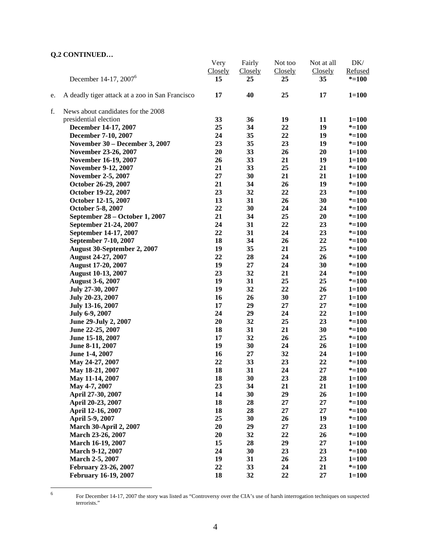|    |                                                 | Very           | Fairly         | Not too | Not at all | DK/       |
|----|-------------------------------------------------|----------------|----------------|---------|------------|-----------|
|    |                                                 | <b>Closely</b> | <b>Closely</b> | Closely | Closely    | Refused   |
|    | December 14-17, 2007 <sup>6</sup>               | 15             | 25             | 25      | 35         | $* = 100$ |
| e. | A deadly tiger attack at a zoo in San Francisco | 17             | 40             | 25      | 17         | $1 = 100$ |
| f. | News about candidates for the 2008              |                |                |         |            |           |
|    | presidential election                           | 33             | 36             | 19      | 11         | $1 = 100$ |
|    | December 14-17, 2007                            | 25             | 34             | 22      | 19         | $* = 100$ |
|    | December 7-10, 2007                             | 24             | 35             | 22      | 19         | $* = 100$ |
|    | November 30 – December 3, 2007                  | 23             | 35             | 23      | 19         | $* = 100$ |
|    | November 23-26, 2007                            | 20             | 33             | 26      | 20         | $1 = 100$ |
|    | November 16-19, 2007                            | 26             | 33             | 21      | 19         | $1 = 100$ |
|    | <b>November 9-12, 2007</b>                      | 21             | 33             | 25      | 21         | $* = 100$ |
|    | <b>November 2-5, 2007</b>                       | 27             | 30             | 21      | 21         | $1 = 100$ |
|    | October 26-29, 2007                             | 21             | 34             | 26      | 19         | $* = 100$ |
|    | October 19-22, 2007                             | 23             | 32             | 22      | 23         | $* = 100$ |
|    | October 12-15, 2007                             | 13             | 31             | 26      | 30         | $* = 100$ |
|    | October 5-8, 2007                               | 22             | 30             | 24      | 24         | $* = 100$ |
|    | September 28 - October 1, 2007                  | 21             | 34             | 25      | 20         | $* = 100$ |
|    | September 21-24, 2007                           | 24             | 31             | 22      | 23         | $* = 100$ |
|    | September 14-17, 2007                           | 22             | 31             | 24      | 23         | $* = 100$ |
|    | September 7-10, 2007                            | 18             | 34             | 26      | 22         | $* = 100$ |
|    | August 30-September 2, 2007                     | 19             | 35             | 21      | 25         | $* = 100$ |
|    | <b>August 24-27, 2007</b>                       | 22             | 28             | 24      | 26         | $* = 100$ |
|    | <b>August 17-20, 2007</b>                       | 19             | 27             | 24      | 30         | $* = 100$ |
|    | <b>August 10-13, 2007</b>                       | 23             | 32             | 21      | 24         | $* = 100$ |
|    | <b>August 3-6, 2007</b>                         | 19             | 31             | 25      | 25         | $* = 100$ |
|    | July 27-30, 2007                                | 19             | 32             | 22      | 26         | $1 = 100$ |
|    | July 20-23, 2007                                | 16             | 26             | 30      | 27         | $1 = 100$ |
|    | July 13-16, 2007                                | 17             | 29             | 27      | 27         | $* = 100$ |
|    | July 6-9, 2007                                  | 24             | 29             | 24      | 22         | $1 = 100$ |
|    | June 29-July 2, 2007                            | 20             | 32             | 25      | 23         | $* = 100$ |
|    | June 22-25, 2007                                | 18             | 31             | 21      | 30         | $* = 100$ |
|    | June 15-18, 2007                                | 17             | 32             | 26      | 25         | $* = 100$ |
|    | June 8-11, 2007                                 | 19             | 30             | 24      | 26         | $1 = 100$ |
|    | June 1-4, 2007                                  | 16             | 27             | 32      | 24         | $1 = 100$ |
|    | May 24-27, 2007                                 | 22             | 33             | 23      | 22         | $* = 100$ |
|    | May 18-21, 2007                                 | 18             | 31             | 24      | 27         | $* = 100$ |
|    | May 11-14, 2007                                 | 18             | 30             | 23      | 28         | $1 = 100$ |
|    | May 4-7, 2007                                   | 23             | 34             | 21      | 21         | $1 = 100$ |
|    | April 27-30, 2007                               | 14             | 30             | 29      | 26         | $1 = 100$ |
|    | April 20-23, 2007                               | 18             | 28             | 27      | 27         | $* = 100$ |
|    | April 12-16, 2007                               | 18             | 28             | 27      | $27\,$     | $* = 100$ |
|    | April 5-9, 2007                                 | 25             | 30             | 26      | 19         | $* = 100$ |
|    | <b>March 30-April 2, 2007</b>                   | 20             | 29             | 27      | 23         | $1 = 100$ |
|    | March 23-26, 2007                               | 20             | 32             | 22      | 26         | $* = 100$ |
|    | March 16-19, 2007                               | 15             | 28             | 29      | 27         | $1 = 100$ |
|    | March 9-12, 2007                                | 24             | 30             | 23      | 23         | $* = 100$ |
|    | March 2-5, 2007                                 | 19             | 31             | 26      | 23         | $1 = 100$ |
|    | February 23-26, 2007                            | 22             | 33             | 24      | 21         | $* = 100$ |
|    | February 16-19, 2007                            | 18             | 32             | 22      | 27         | $1 = 100$ |

 $\frac{1}{6}$ 

For December 14-17, 2007 the story was listed as "Controversy over the CIA's use of harsh interrogation techniques on suspected terrorists."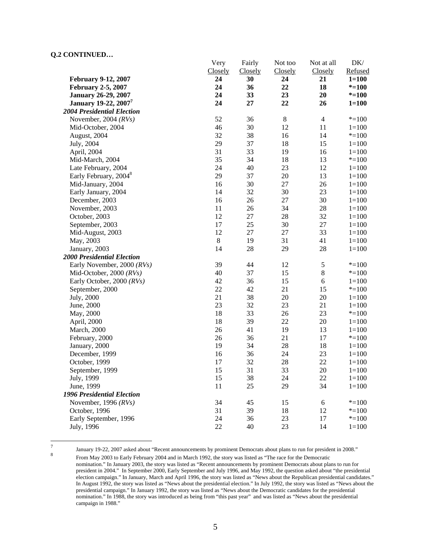|                                   | Very           | Fairly         | Not too | Not at all     | DK/       |
|-----------------------------------|----------------|----------------|---------|----------------|-----------|
|                                   | <b>Closely</b> | <b>Closely</b> | Closely | Closely        | Refused   |
| <b>February 9-12, 2007</b>        | 24             | 30             | 24      | 21             | $1 = 100$ |
| <b>February 2-5, 2007</b>         | 24             | 36             | 22      | 18             | $* = 100$ |
| <b>January 26-29, 2007</b>        | 24             | 33             | 23      | 20             | $* = 100$ |
| January 19-22, 2007 <sup>7</sup>  | 24             | 27             | 22      | 26             | $1 = 100$ |
| <b>2004 Presidential Election</b> |                |                |         |                |           |
| November, 2004 $(RVs)$            | 52             | 36             | $\,8\,$ | $\overline{4}$ | $* = 100$ |
| Mid-October, 2004                 | 46             | 30             | 12      | 11             | $1 = 100$ |
| August, 2004                      | 32             | 38             | 16      | 14             | $* = 100$ |
| July, 2004                        | 29             | 37             | 18      | 15             | $1 = 100$ |
| April, 2004                       | 31             | 33             | 19      | 16             | $1 = 100$ |
| Mid-March, 2004                   | 35             | 34             | 18      | 13             | $* = 100$ |
| Late February, 2004               | 24             | 40             | 23      | 12             | $1 = 100$ |
| Early February, 2004 <sup>8</sup> | 29             | 37             | $20\,$  | 13             | $1 = 100$ |
| Mid-January, 2004                 | 16             | 30             | 27      | 26             | $1 = 100$ |
| Early January, 2004               | 14             | 32             | 30      | 23             | $1 = 100$ |
| December, 2003                    | 16             | 26             | $27\,$  | 30             | $1 = 100$ |
| November, 2003                    | 11             | 26             | 34      | 28             | $1 = 100$ |
| October, 2003                     | 12             | $27\,$         | 28      | 32             | $1 = 100$ |
| September, 2003                   | 17             | 25             | 30      | $27\,$         | $1 = 100$ |
| Mid-August, 2003                  | 12             | 27             | 27      | 33             | $1 = 100$ |
| May, 2003                         | $8\,$          | 19             | 31      | 41             | $1 = 100$ |
| January, 2003                     | 14             | 28             | 29      | 28             | $1 = 100$ |
| <b>2000 Presidential Election</b> |                |                |         |                |           |
| Early November, 2000 (RVs)        | 39             | 44             | 12      | $\mathfrak s$  | $* = 100$ |
| Mid-October, 2000 (RVs)           | 40             | 37             | 15      | $8\,$          | $* = 100$ |
| Early October, 2000 (RVs)         | 42             | 36             | 15      | 6              | $1 = 100$ |
| September, 2000                   | 22             | 42             | 21      | 15             | $* = 100$ |
| July, 2000                        | 21             | 38             | 20      | $20\,$         | $1 = 100$ |
| June, 2000                        | 23             | 32             | 23      | 21             | $1 = 100$ |
| May, 2000                         | 18             | 33             | 26      | 23             | $* = 100$ |
| April, 2000                       | 18             | 39             | $22\,$  | 20             | $1 = 100$ |
| <b>March</b> , 2000               | 26             | 41             | 19      | 13             | $1 = 100$ |
| February, 2000                    | 26             | 36             | 21      | 17             | $* = 100$ |
| January, 2000                     | 19             | 34             | 28      | 18             | $1 = 100$ |
| December, 1999                    | 16             | 36             | 24      | 23             | $1 = 100$ |
| October, 1999                     | 17             | 32             | $28\,$  | 22             | $1 = 100$ |
| September, 1999                   | 15             | 31             | 33      | 20             | $1 = 100$ |
| July, 1999                        | 15             | 38             | 24      | 22             | $1 = 100$ |
| June, 1999                        | $11\,$         | 25             | 29      | 34             | $1 = 100$ |
| 1996 Presidential Election        |                |                |         |                |           |
| November, 1996 $(RVs)$            | 34             | 45             | 15      | 6              | $* = 100$ |
| October, 1996                     | 31             | 39             | 18      | 12             | $* = 100$ |
| Early September, 1996             | 24             | 36             | 23      | 17             | $* = 100$ |
| July, 1996                        | 22             | 40             | 23      | 14             | $1 = 100$ |
|                                   |                |                |         |                |           |

<sup>-&</sup>lt;br>7

campaign in 1988."

January 19-22, 2007 asked about "Recent announcements by prominent Democrats about plans to run for president in 2008." From May 2003 to Early February 2004 and in March 1992, the story was listed as "The race for the Democratic nomination." In January 2003, the story was listed as "Recent announcements by prominent Democrats about plans to run for president in 2004." In September 2000, Early September and July 1996, and May 1992, the question asked about "the presidential election campaign." In January, March and April 1996, the story was listed as "News about the Republican presidential candidates." In August 1992, the story was listed as "News about the presidential election." In July 1992, the story was listed as "News about the presidential campaign." In January 1992, the story was listed as "News about the Democratic candidates for the presidential nomination." In 1988, the story was introduced as being from "this past year" and was listed as "News about the presidential

5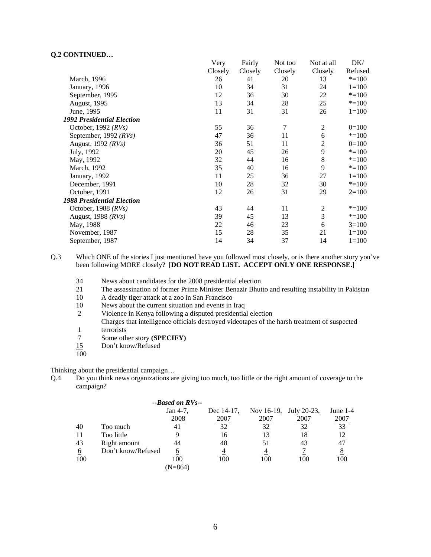|                                   | Very    | Fairly  | Not too | Not at all     | DK/       |
|-----------------------------------|---------|---------|---------|----------------|-----------|
|                                   | Closely | Closely | Closely | Closely        | Refused   |
| March, 1996                       | 26      | 41      | 20      | 13             | $* = 100$ |
| January, 1996                     | 10      | 34      | 31      | 24             | $1 = 100$ |
| September, 1995                   | 12      | 36      | 30      | 22             | $* = 100$ |
| August, 1995                      | 13      | 34      | 28      | 25             | $* = 100$ |
| June, 1995                        | 11      | 31      | 31      | 26             | $1 = 100$ |
| <b>1992 Presidential Election</b> |         |         |         |                |           |
| October, 1992 $(RVs)$             | 55      | 36      | $\tau$  | $\overline{2}$ | $0=100$   |
| September, 1992 $(RVs)$           | 47      | 36      | 11      | 6              | $* = 100$ |
| August, $1992$ ( <i>RVs</i> )     | 36      | 51      | 11      | 2              | $0=100$   |
| July, 1992                        | 20      | 45      | 26      | 9              | $* = 100$ |
| May, 1992                         | 32      | 44      | 16      | 8              | $* = 100$ |
| March, 1992                       | 35      | 40      | 16      | 9              | $* = 100$ |
| January, 1992                     | 11      | 25      | 36      | 27             | $1 = 100$ |
| December, 1991                    | 10      | 28      | 32      | 30             | $* = 100$ |
| October, 1991                     | 12      | 26      | 31      | 29             | $2=100$   |
| <b>1988 Presidential Election</b> |         |         |         |                |           |
| October, 1988 $(RVs)$             | 43      | 44      | 11      | $\overline{2}$ | $* = 100$ |
| August, 1988 (RVs)                | 39      | 45      | 13      | 3              | $* = 100$ |
| May, 1988                         | 22      | 46      | 23      | 6              | $3=100$   |
| November, 1987                    | 15      | 28      | 35      | 21             | $1 = 100$ |
| September, 1987                   | 14      | 34      | 37      | 14             | $1 = 100$ |

Q.3 Which ONE of the stories I just mentioned have you followed most closely, or is there another story you've been following MORE closely? [**DO NOT READ LIST. ACCEPT ONLY ONE RESPONSE.]** 

- 34 News about candidates for the 2008 presidential election<br>21 The assassination of former Prime Minister Benazir Bhutt
- 21 The assassination of former Prime Minister Benazir Bhutto and resulting instability in Pakistan
- 10 A deadly tiger attack at a zoo in San Francisco
- 10 News about the current situation and events in Iraq
- 2 Violence in Kenya following a disputed presidential election
- Charges that intelligence officials destroyed videotapes of the harsh treatment of suspected
- 1 terrorists<br>7 Some oth 7 Some other story **(SPECIFY)**
- 15 Don't know/Refused
- 100

Thinking about the presidential campaign…

Q.4 Do you think news organizations are giving too much, too little or the right amount of coverage to the campaign?

|     |                    | $-$ -Based on RVs-- |            |                        |      |            |
|-----|--------------------|---------------------|------------|------------------------|------|------------|
|     |                    | Jan 4-7.            | Dec 14-17, | Nov 16-19, July 20-23, |      | June $1-4$ |
|     |                    | 2008                | 2007       | 2007                   | 2007 | 2007       |
| 40  | Too much           | 41                  | 32         | 32                     | 32   | 33         |
| 11  | Too little         | 9                   | 16         | 13                     | 18   | 12         |
| 43  | Right amount       | 44                  | 48         | 51                     | 43   | 47         |
| 6   | Don't know/Refused | 6                   | 4          | 4                      |      | 8          |
| 100 |                    | 100                 | 100        | 100                    | 100  | 100        |
|     |                    | (N=864)             |            |                        |      |            |